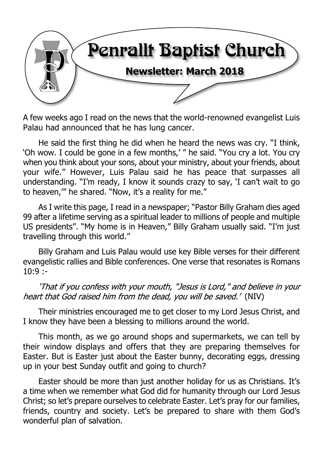

A few weeks ago I read on the news that the world-renowned evangelist Luis Palau had announced that he has lung cancer.

He said the first thing he did when he heard the news was cry. "I think, 'Oh wow. I could be gone in a few months,' " he said. "You cry a lot. You cry when you think about your sons, about your ministry, about your friends, about your wife." However, Luis Palau said he has peace that surpasses all understanding. "I'm ready, I know it sounds crazy to say, 'I can't wait to go to heaven,'" he shared. "Now, it's a reality for me."

As I write this page, I read in a newspaper; "Pastor Billy Graham dies aged 99 after a lifetime serving as a spiritual leader to millions of people and multiple US presidents". "My home is in Heaven," Billy Graham usually said. "I'm just travelling through this world."

Billy Graham and Luis Palau would use key Bible verses for their different evangelistic rallies and Bible conferences. One verse that resonates is Romans  $10:9:$ 

'That if you confess with your mouth, "Jesus is Lord," and believe in your heart that God raised him from the dead, you will be saved.' (NIV)

Their ministries encouraged me to get closer to my Lord Jesus Christ, and I know they have been a blessing to millions around the world.

This month, as we go around shops and supermarkets, we can tell by their window displays and offers that they are preparing themselves for Easter. But is Easter just about the Easter bunny, decorating eggs, dressing up in your best Sunday outfit and going to church?

Easter should be more than just another holiday for us as Christians. It's a time when we remember what God did for humanity through our Lord Jesus Christ; so let's prepare ourselves to celebrate Easter. Let's pray for our families, friends, country and society. Let's be prepared to share with them God's wonderful plan of salvation.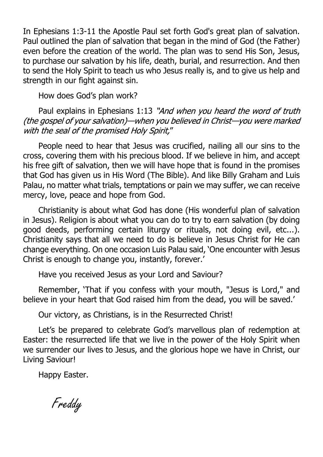In Ephesians 1:3-11 the Apostle Paul set forth God's great plan of salvation. Paul outlined the plan of salvation that began in the mind of God (the Father) even before the creation of the world. The plan was to send His Son, Jesus, to purchase our salvation by his life, death, burial, and resurrection. And then to send the Holy Spirit to teach us who Jesus really is, and to give us help and strength in our fight against sin.

How does God's plan work?

Paul explains in Ephesians 1:13 "And when you heard the word of truth (the gospel of your salvation)-when you believed in Christ-you were marked with the seal of the promised Holy Spirit,"

People need to hear that Jesus was crucified, nailing all our sins to the cross, covering them with his precious blood. If we believe in him, and accept his free gift of salvation, then we will have hope that is found in the promises that God has given us in His Word (The Bible). And like Billy Graham and Luis Palau, no matter what trials, temptations or pain we may suffer, we can receive mercy, love, peace and hope from God.

Christianity is about what God has done (His wonderful plan of salvation in Jesus). Religion is about what you can do to try to earn salvation (by doing good deeds, performing certain liturgy or rituals, not doing evil, etc...). Christianity says that all we need to do is believe in Jesus Christ for He can change everything. On one occasion Luis Palau said, 'One encounter with Jesus Christ is enough to change you, instantly, forever.'

Have you received Jesus as your Lord and Saviour?

Remember, 'That if you confess with your mouth, "Jesus is Lord," and believe in your heart that God raised him from the dead, you will be saved.'

Our victory, as Christians, is in the Resurrected Christ!

Let's be prepared to celebrate God's marvellous plan of redemption at Easter: the resurrected life that we live in the power of the Holy Spirit when we surrender our lives to Jesus, and the glorious hope we have in Christ, our Living Saviour!

Happy Easter.

Freddy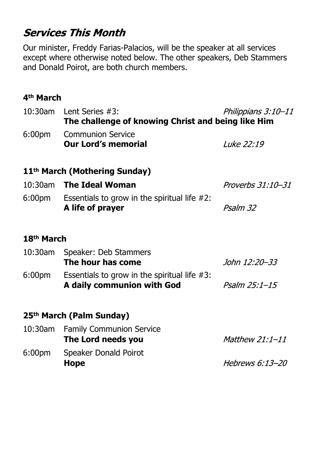# **Services This Month**

Our minister, Freddy Farias-Palacios, will be the speaker at all services except where otherwise noted below. The other speakers, Deb Stammers and Donald Poirot, are both church members.

#### **4th March**

| 10:30am                | Philippians 3:10-11<br>Lent Series $#3$ :<br>The challenge of knowing Christ and being like Him |                   |  |
|------------------------|-------------------------------------------------------------------------------------------------|-------------------|--|
| 6:00 <sub>pm</sub>     | <b>Communion Service</b><br><b>Our Lord's memorial</b>                                          | Luke 22:19        |  |
|                        | 11 <sup>th</sup> March (Mothering Sunday)                                                       |                   |  |
|                        | 10:30am The Ideal Woman                                                                         | Proverbs 31:10-31 |  |
| 6:00 <sub>pm</sub>     | Essentials to grow in the spiritual life $#2$ :<br>A life of prayer                             | Psalm 32          |  |
| 18 <sup>th</sup> March |                                                                                                 |                   |  |
| $10:30$ am             | Speaker: Deb Stammers<br>The hour has come                                                      | John 12:20–33     |  |
| 6:00 <sub>pm</sub>     | Essentials to grow in the spiritual life $#3$ :<br>A daily communion with God                   | Psalm 25:1-15     |  |
|                        | 25 <sup>th</sup> March (Palm Sunday)                                                            |                   |  |
|                        | 10:30am Family Communion Service<br>The Lord needs you                                          | Matthew 21:1-11   |  |
| 6:00 <sub>pm</sub>     | <b>Speaker Donald Poirot</b><br>Hope                                                            | Hebrews 6:13-20   |  |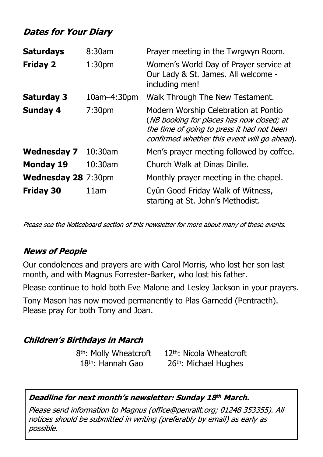## **Dates for Your Diary**

| <b>Saturdays</b>           | 8:30am             | Prayer meeting in the Twrgwyn Room.                                                                                                                                             |
|----------------------------|--------------------|---------------------------------------------------------------------------------------------------------------------------------------------------------------------------------|
| <b>Friday 2</b>            | 1:30pm             | Women's World Day of Prayer service at<br>Our Lady & St. James. All welcome -<br>including men!                                                                                 |
| <b>Saturday 3</b>          | $10$ am $-4:30$ pm | Walk Through The New Testament.                                                                                                                                                 |
| <b>Sunday 4</b>            | 7:30 <sub>pm</sub> | Modern Worship Celebration at Pontio<br>(NB booking for places has now closed; at<br>the time of going to press it had not been<br>confirmed whether this event will go ahead). |
| <b>Wednesday 7</b>         | $10:30$ am         | Men's prayer meeting followed by coffee.                                                                                                                                        |
| <b>Monday 19</b>           | 10:30am            | Church Walk at Dinas Dinlle.                                                                                                                                                    |
| <b>Wednesday 28 7:30pm</b> |                    | Monthly prayer meeting in the chapel.                                                                                                                                           |
| <b>Friday 30</b>           | 11am               | Cyûn Good Friday Walk of Witness,<br>starting at St. John's Methodist.                                                                                                          |

Please see the Noticeboard section of this newsletter for more about many of these events.

#### **News of People**

Our condolences and prayers are with Carol Morris, who lost her son last month, and with Magnus Forrester-Barker, who lost his father.

Please continue to hold both Eve Malone and Lesley Jackson in your prayers.

Tony Mason has now moved permanently to Plas Garnedd (Pentraeth). Please pray for both Tony and Joan.

#### **Children's Birthdays in March**

8 th: Molly Wheatcroft 12th: Nicola Wheatcroft 18<sup>th</sup>: Hannah Gao 26<sup>th</sup>: Michael Hughes

#### Deadline for next month's newsletter: Sunday 18th March.

Please send information to Magnus (office@penrallt.org; 01248 353355). All notices should be submitted in writing (preferably by email) as early as possible.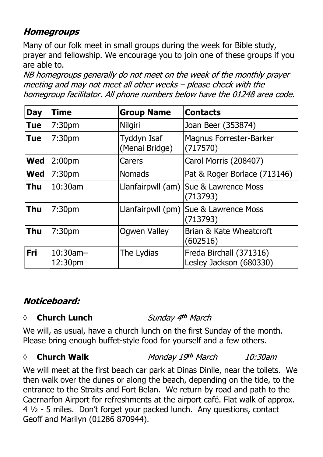# **Homegroups**

Many of our folk meet in small groups during the week for Bible study, prayer and fellowship. We encourage you to join one of these groups if you are able to.

NB homegroups generally do not meet on the week of the monthly prayer meeting and may not meet all other weeks - please check with the homegroup facilitator. All phone numbers below have the 01248 area code.

| <b>Day</b> | <b>Time</b>            | <b>Group Name</b>             | <b>Contacts</b>                                     |
|------------|------------------------|-------------------------------|-----------------------------------------------------|
| <b>Tue</b> | 7:30 <sub>pm</sub>     | <b>Nilgiri</b>                | Joan Beer (353874)                                  |
| <b>Tue</b> | 7:30 <sub>pm</sub>     | Tyddyn Isaf<br>(Menai Bridge) | <b>Magnus Forrester-Barker</b><br>(717570)          |
| <b>Wed</b> | 2:00 <sub>pm</sub>     | Carers                        | Carol Morris (208407)                               |
| <b>Wed</b> | 7:30 <sub>pm</sub>     | <b>Nomads</b>                 | Pat & Roger Borlace (713146)                        |
| <b>Thu</b> | 10:30am                |                               | Llanfairpwll (am)   Sue & Lawrence Moss<br>(713793) |
| <b>Thu</b> | 7:30 <sub>pm</sub>     |                               | Llanfairpwll (pm)   Sue & Lawrence Moss<br>(713793) |
| <b>Thu</b> | 7:30 <sub>pm</sub>     | <b>Ogwen Valley</b>           | Brian & Kate Wheatcroft<br>(602516)                 |
| <b>Fri</b> | $10:30$ am-<br>12:30pm | The Lydias                    | Freda Birchall (371316)<br>Lesley Jackson (680330)  |

### Noticeboard:

#### *◊* **Church Lunch**

Sunday 4th March

We will, as usual, have a church lunch on the first Sunday of the month. Please bring enough buffet-style food for yourself and a few others.

#### *◊* **Church Walk**

Monday 19th March 10:30am

We will meet at the first beach car park at Dinas Dinlle, near the toilets. We then walk over the dunes or along the beach, depending on the tide, to the entrance to the Straits and Fort Belan. We return by road and path to the Caernarfon Airport for refreshments at the airport café. Flat walk of approx. 4 ½ - 5 miles. Don't forget your packed lunch. Any questions, contact Geoff and Marilyn (01286 870944).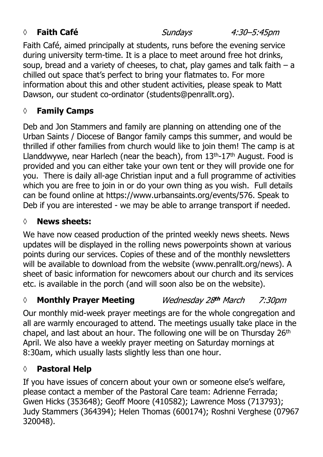#### *◊* **Faith Café**

Sundays

4:30–5:45pm

Faith Café, aimed principally at students, runs before the evening service during university term-time. It is a place to meet around free hot drinks, soup, bread and a variety of cheeses, to chat, play games and talk faith  $-$  a chilled out space that's perfect to bring your flatmates to. For more information about this and other student activities, please speak to Matt Dawson, our student co-ordinator (students@penrallt.org).

# **◊ Family Camps**

Deb and Jon Stammers and family are planning on attending one of the Urban Saints / Diocese of Bangor family camps this summer, and would be thrilled if other families from church would like to join them! The camp is at Llanddwywe, near Harlech (near the beach), from 13<sup>th</sup>-17<sup>th</sup> August. Food is provided and you can either take your own tent or they will provide one for you. There is daily all-age Christian input and a full programme of activities which you are free to join in or do your own thing as you wish. Full details can be found online at https://www.urbansaints.org/events/576. Speak to Deb if you are interested - we may be able to arrange transport if needed.

# **◊ News sheets:**

We have now ceased production of the printed weekly news sheets. News updates will be displayed in the rolling news powerpoints shown at various points during our services. Copies of these and of the monthly newsletters will be available to download from the website (www.penrallt.org/news). A sheet of basic information for newcomers about our church and its services etc. is available in the porch (and will soon also be on the website).

#### Wednesday 28th March *◊* **Monthly Prayer Meeting** 7:30pm

Our monthly mid-week prayer meetings are for the whole congregation and all are warmly encouraged to attend. The meetings usually take place in the chapel, and last about an hour. The following one will be on Thursday 26th April. We also have a weekly prayer meeting on Saturday mornings at 8:30am, which usually lasts slightly less than one hour.

# **◊ Pastoral Help**

If you have issues of concern about your own or someone else's welfare, please contact a member of the Pastoral Care team: Adrienne Ferrada; Gwen Hicks (353648); Geoff Moore (410582); Lawrence Moss (713793); Judy Stammers (364394); Helen Thomas (600174); Roshni Verghese (07967 320048).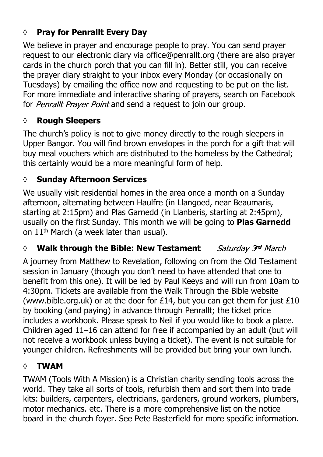# **◊ Pray for Penrallt Every Day**

We believe in prayer and encourage people to pray. You can send prayer request to our electronic diary via office@penrallt.org (there are also prayer cards in the church porch that you can fill in). Better still, you can receive the prayer diary straight to your inbox every Monday (or occasionally on Tuesdays) by emailing the office now and requesting to be put on the list. For more immediate and interactive sharing of prayers, search on Facebook for Penrallt Prayer Point and send a request to join our group.

#### **◊ Rough Sleepers**

The church's policy is not to give money directly to the rough sleepers in Upper Bangor. You will find brown envelopes in the porch for a gift that will buy meal vouchers which are distributed to the homeless by the Cathedral; this certainly would be a more meaningful form of help.

#### **◊ Sunday Afternoon Services**

We usually visit residential homes in the area once a month on a Sunday afternoon, alternating between Haulfre (in Llangoed, near Beaumaris, starting at 2:15pm) and Plas Garnedd (in Llanberis, starting at 2:45pm), usually on the first Sunday. This month we will be going to **Plas Garnedd** on 11th March (a week later than usual).

#### *◊* **Walk through the Bible: New Testament** Saturday 3rd March

A journey from Matthew to Revelation, following on from the Old Testament session in January (though you don't need to have attended that one to benefit from this one). It will be led by Paul Keeys and will run from 10am to 4:30pm. Tickets are available from the Walk Through the Bible website (www.bible.org.uk) or at the door for  $£14$ , but you can get them for just  $£10$ by booking (and paying) in advance through Penrallt; the ticket price includes a workbook. Please speak to Neil if you would like to book a place. Children aged 11–16 can attend for free if accompanied by an adult (but will not receive a workbook unless buying a ticket). The event is not suitable for younger children. Refreshments will be provided but bring your own lunch.

#### **◊ TWAM**

TWAM (Tools With A Mission) is a Christian charity sending tools across the world. They take all sorts of tools, refurbish them and sort them into trade kits: builders, carpenters, electricians, gardeners, ground workers, plumbers, motor mechanics. etc. There is a more comprehensive list on the notice board in the church foyer. See Pete Basterfield for more specific information.